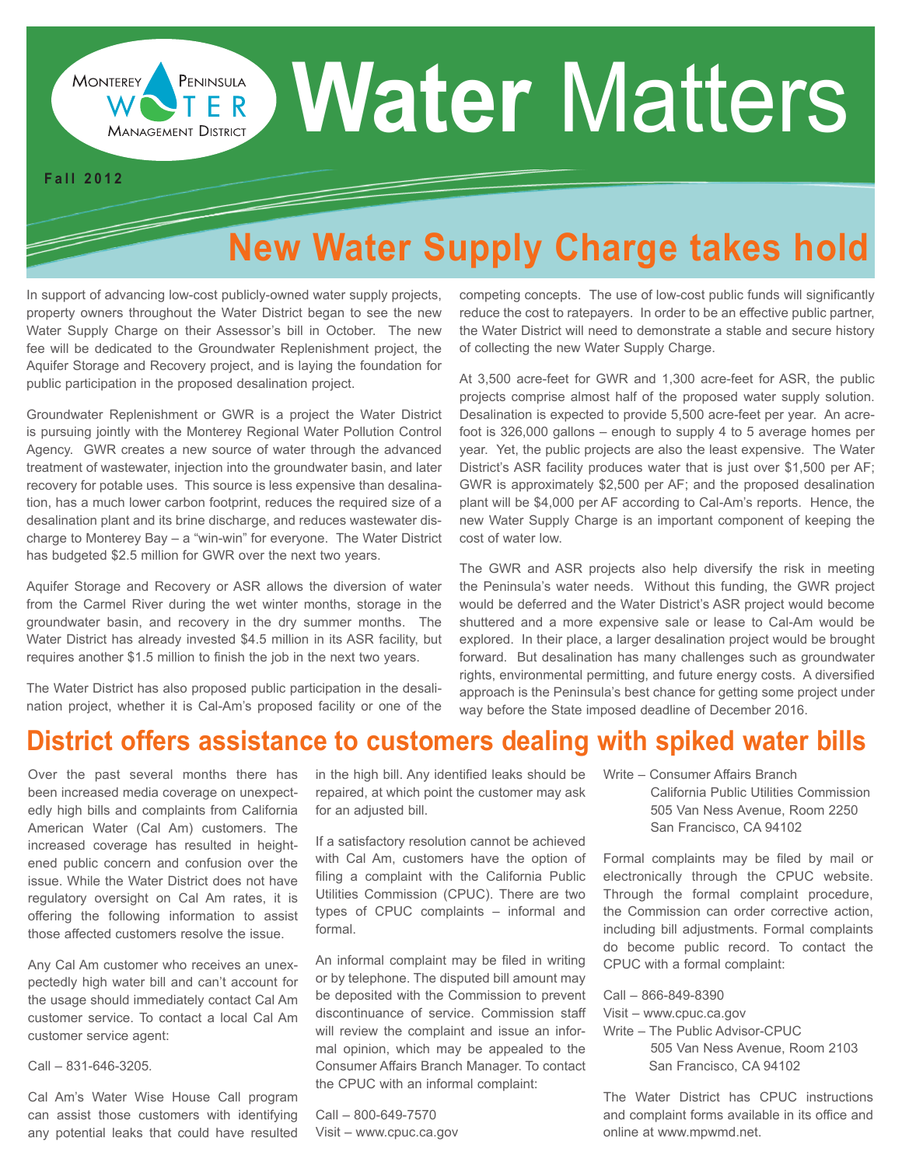# **Water Matters**

#### **F a l l 2 0 1 2**

**MONTEREY** 

F

## **New Water Supply Charge takes hold**

In support of advancing low-cost publicly-owned water supply projects, property owners throughout the Water District began to see the new Water Supply Charge on their Assessor's bill in October. The new fee will be dedicated to the Groundwater Replenishment project, the Aquifer Storage and Recovery project, and is laying the foundation for public participation in the proposed desalination project.

http://www.mpwmd.dst.ca.us http://www.montereywaterinfo.org

**MANAGEMENT DISTRICT** 

PENINSULA

Groundwater Replenishment or GWR is a project the Water District is pursuing jointly with the Monterey Regional Water Pollution Control Agency. GWR creates a new source of water through the advanced treatment of wastewater, injection into the groundwater basin, and later recovery for potable uses. This source is less expensive than desalination, has a much lower carbon footprint, reduces the required size of a desalination plant and its brine discharge, and reduces wastewater discharge to Monterey Bay – a "win-win" for everyone. The Water District has budgeted \$2.5 million for GWR over the next two years.

Aquifer Storage and Recovery or ASR allows the diversion of water from the Carmel River during the wet winter months, storage in the groundwater basin, and recovery in the dry summer months. The Water District has already invested \$4.5 million in its ASR facility, but requires another \$1.5 million to finish the job in the next two years.

The Water District has also proposed public participation in the desalination project, whether it is Cal-Am's proposed facility or one of the competing concepts. The use of low-cost public funds will significantly reduce the cost to ratepayers. In order to be an effective public partner, the Water District will need to demonstrate a stable and secure history of collecting the new Water Supply Charge.

At 3,500 acre-feet for GWR and 1,300 acre-feet for ASR, the public projects comprise almost half of the proposed water supply solution. Desalination is expected to provide 5,500 acre-feet per year. An acrefoot is 326,000 gallons – enough to supply 4 to 5 average homes per year. Yet, the public projects are also the least expensive. The Water District's ASR facility produces water that is just over \$1,500 per AF; GWR is approximately \$2,500 per AF; and the proposed desalination plant will be \$4,000 per AF according to Cal-Am's reports. Hence, the new Water Supply Charge is an important component of keeping the cost of water low.

The GWR and ASR projects also help diversify the risk in meeting the Peninsula's water needs. Without this funding, the GWR project would be deferred and the Water District's ASR project would become shuttered and a more expensive sale or lease to Cal-Am would be explored. In their place, a larger desalination project would be brought forward. But desalination has many challenges such as groundwater rights, environmental permitting, and future energy costs. A diversified approach is the Peninsula's best chance for getting some project under way before the State imposed deadline of December 2016.

## **District offers assistance to customers dealing with spiked water bills**

Over the past several months there has been increased media coverage on unexpectedly high bills and complaints from California American Water (Cal Am) customers. The increased coverage has resulted in heightened public concern and confusion over the issue. While the Water District does not have regulatory oversight on Cal Am rates, it is offering the following information to assist those affected customers resolve the issue.

Any Cal Am customer who receives an unexpectedly high water bill and can't account for the usage should immediately contact Cal Am customer service. To contact a local Cal Am customer service agent:

Call – 831-646-3205*.* 

Cal Am's Water Wise House Call program can assist those customers with identifying any potential leaks that could have resulted in the high bill. Any identified leaks should be repaired, at which point the customer may ask for an adjusted bill.

If a satisfactory resolution cannot be achieved with Cal Am, customers have the option of filing a complaint with the California Public Utilities Commission (CPUC). There are two types of CPUC complaints – informal and formal.

An informal complaint may be filed in writing or by telephone. The disputed bill amount may be deposited with the Commission to prevent discontinuance of service. Commission staff will review the complaint and issue an informal opinion, which may be appealed to the Consumer Affairs Branch Manager. To contact the CPUC with an informal complaint:

Call – 800-649-7570 Visit – www.cpuc.ca.gov

- Write Consumer Affairs Branch
	- California Public Utilities Commission 505 Van Ness Avenue, Room 2250 San Francisco, CA 94102

Formal complaints may be filed by mail or electronically through the CPUC website. Through the formal complaint procedure, the Commission can order corrective action, including bill adjustments. Formal complaints do become public record. To contact the CPUC with a formal complaint:

Call – 866-849-8390

- Visit www.cpuc.ca.gov
- Write The Public Advisor-CPUC 505 Van Ness Avenue, Room 2103 San Francisco, CA 94102

The Water District has CPUC instructions and complaint forms available in its office and online at www.mpwmd.net.